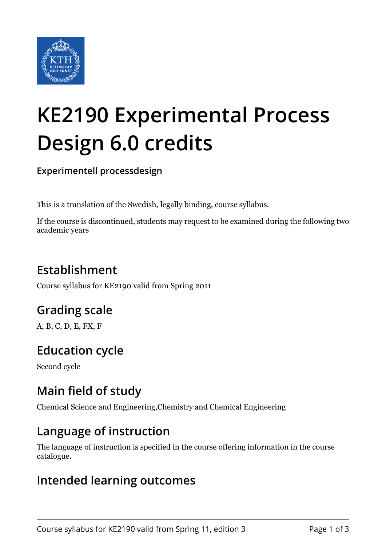

# **KE2190 Experimental Process Design 6.0 credits**

**Experimentell processdesign**

This is a translation of the Swedish, legally binding, course syllabus.

If the course is discontinued, students may request to be examined during the following two academic years

## **Establishment**

Course syllabus for KE2190 valid from Spring 2011

## **Grading scale**

A, B, C, D, E, FX, F

## **Education cycle**

Second cycle

## **Main field of study**

Chemical Science and Engineering,Chemistry and Chemical Engineering

#### **Language of instruction**

The language of instruction is specified in the course offering information in the course catalogue.

#### **Intended learning outcomes**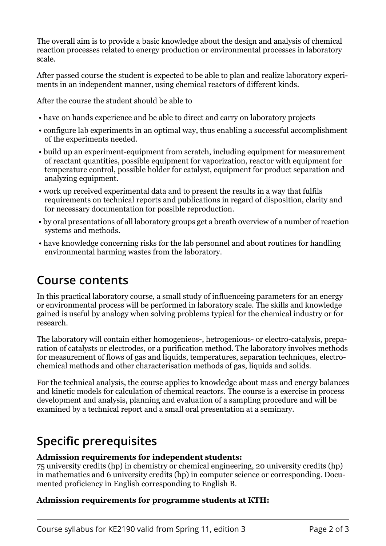The overall aim is to provide a basic knowledge about the design and analysis of chemical reaction processes related to energy production or environmental processes in laboratory scale.

After passed course the student is expected to be able to plan and realize laboratory experiments in an independent manner, using chemical reactors of different kinds.

After the course the student should be able to

- have on hands experience and be able to direct and carry on laboratory projects
- configure lab experiments in an optimal way, thus enabling a successful accomplishment of the experiments needed.
- build up an experiment-equipment from scratch, including equipment for measurement of reactant quantities, possible equipment for vaporization, reactor with equipment for temperature control, possible holder for catalyst, equipment for product separation and analyzing equipment.
- work up received experimental data and to present the results in a way that fulfils requirements on technical reports and publications in regard of disposition, clarity and for necessary documentation for possible reproduction.
- by oral presentations of all laboratory groups get a breath overview of a number of reaction systems and methods.
- have knowledge concerning risks for the lab personnel and about routines for handling environmental harming wastes from the laboratory.

#### **Course contents**

In this practical laboratory course, a small study of influenceing parameters for an energy or environmental process will be performed in laboratory scale. The skills and knowledge gained is useful by analogy when solving problems typical for the chemical industry or for research.

The laboratory will contain either homogenieos-, hetrogenious- or electro-catalysis, preparation of catalysts or electrodes, or a purification method. The laboratory involves methods for measurement of flows of gas and liquids, temperatures, separation techniques, electrochemical methods and other characterisation methods of gas, liquids and solids.

For the technical analysis, the course applies to knowledge about mass and energy balances and kinetic models for calculation of chemical reactors. The course is a exercise in process development and analysis, planning and evaluation of a sampling procedure and will be examined by a technical report and a small oral presentation at a seminary.

## **Specific prerequisites**

#### Admission requirements for independent students:

75 university credits (hp) in chemistry or chemical engineering, 20 university credits (hp) in mathematics and 6 university credits (hp) in computer science or corresponding. Documented proficiency in English corresponding to English B.

#### Admission requirements for programme students at KTH: